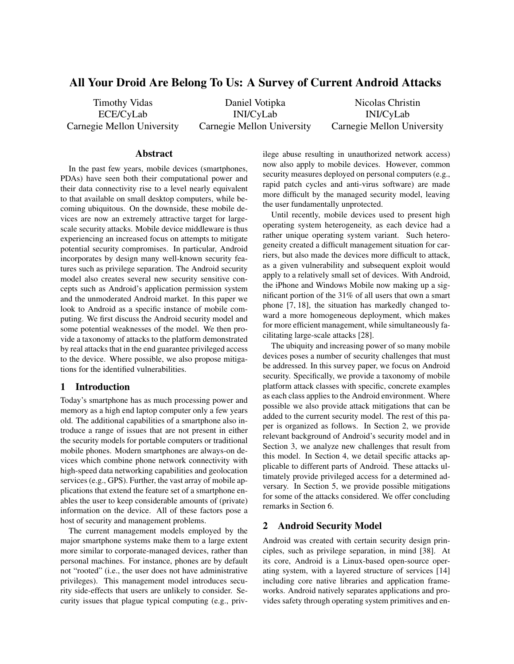# All Your Droid Are Belong To Us: A Survey of Current Android Attacks

Timothy Vidas ECE/CyLab Carnegie Mellon University

Daniel Votipka INI/CyLab Carnegie Mellon University

Nicolas Christin INI/CyLab Carnegie Mellon University

### Abstract

In the past few years, mobile devices (smartphones, PDAs) have seen both their computational power and their data connectivity rise to a level nearly equivalent to that available on small desktop computers, while becoming ubiquitous. On the downside, these mobile devices are now an extremely attractive target for largescale security attacks. Mobile device middleware is thus experiencing an increased focus on attempts to mitigate potential security compromises. In particular, Android incorporates by design many well-known security features such as privilege separation. The Android security model also creates several new security sensitive concepts such as Android's application permission system and the unmoderated Android market. In this paper we look to Android as a specific instance of mobile computing. We first discuss the Android security model and some potential weaknesses of the model. We then provide a taxonomy of attacks to the platform demonstrated by real attacks that in the end guarantee privileged access to the device. Where possible, we also propose mitigations for the identified vulnerabilities.

#### 1 Introduction

Today's smartphone has as much processing power and memory as a high end laptop computer only a few years old. The additional capabilities of a smartphone also introduce a range of issues that are not present in either the security models for portable computers or traditional mobile phones. Modern smartphones are always-on devices which combine phone network connectivity with high-speed data networking capabilities and geolocation services (e.g., GPS). Further, the vast array of mobile applications that extend the feature set of a smartphone enables the user to keep considerable amounts of (private) information on the device. All of these factors pose a host of security and management problems.

The current management models employed by the major smartphone systems make them to a large extent more similar to corporate-managed devices, rather than personal machines. For instance, phones are by default not "rooted" (i.e., the user does not have administrative privileges). This management model introduces security side-effects that users are unlikely to consider. Security issues that plague typical computing (e.g., privilege abuse resulting in unauthorized network access) now also apply to mobile devices. However, common security measures deployed on personal computers (e.g., rapid patch cycles and anti-virus software) are made more difficult by the managed security model, leaving the user fundamentally unprotected.

Until recently, mobile devices used to present high operating system heterogeneity, as each device had a rather unique operating system variant. Such heterogeneity created a difficult management situation for carriers, but also made the devices more difficult to attack, as a given vulnerability and subsequent exploit would apply to a relatively small set of devices. With Android, the iPhone and Windows Mobile now making up a significant portion of the 31% of all users that own a smart phone [7, 18], the situation has markedly changed toward a more homogeneous deployment, which makes for more efficient management, while simultaneously facilitating large-scale attacks [28].

The ubiquity and increasing power of so many mobile devices poses a number of security challenges that must be addressed. In this survey paper, we focus on Android security. Specifically, we provide a taxonomy of mobile platform attack classes with specific, concrete examples as each class applies to the Android environment. Where possible we also provide attack mitigations that can be added to the current security model. The rest of this paper is organized as follows. In Section 2, we provide relevant background of Android's security model and in Section 3, we analyze new challenges that result from this model. In Section 4, we detail specific attacks applicable to different parts of Android. These attacks ultimately provide privileged access for a determined adversary. In Section 5, we provide possible mitigations for some of the attacks considered. We offer concluding remarks in Section 6.

#### 2 Android Security Model

Android was created with certain security design principles, such as privilege separation, in mind [38]. At its core, Android is a Linux-based open-source operating system, with a layered structure of services [14] including core native libraries and application frameworks. Android natively separates applications and provides safety through operating system primitives and en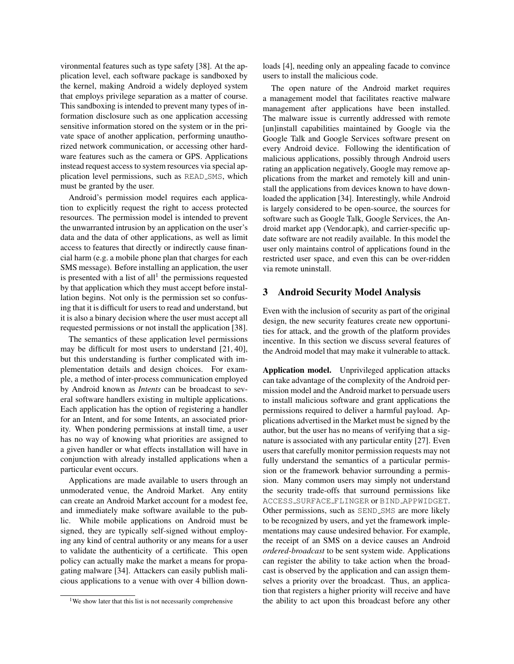vironmental features such as type safety [38]. At the application level, each software package is sandboxed by the kernel, making Android a widely deployed system that employs privilege separation as a matter of course. This sandboxing is intended to prevent many types of information disclosure such as one application accessing sensitive information stored on the system or in the private space of another application, performing unauthorized network communication, or accessing other hardware features such as the camera or GPS. Applications instead request access to system resources via special application level permissions, such as READ SMS, which must be granted by the user.

Android's permission model requires each application to explicitly request the right to access protected resources. The permission model is intended to prevent the unwarranted intrusion by an application on the user's data and the data of other applications, as well as limit access to features that directly or indirectly cause financial harm (e.g. a mobile phone plan that charges for each SMS message). Before installing an application, the user is presented with a list of  $all<sup>1</sup>$  the permissions requested by that application which they must accept before installation begins. Not only is the permission set so confusing that it is difficult for users to read and understand, but it is also a binary decision where the user must accept all requested permissions or not install the application [38].

The semantics of these application level permissions may be difficult for most users to understand [21, 40], but this understanding is further complicated with implementation details and design choices. For example, a method of inter-process communication employed by Android known as *Intents* can be broadcast to several software handlers existing in multiple applications. Each application has the option of registering a handler for an Intent, and for some Intents, an associated priority. When pondering permissions at install time, a user has no way of knowing what priorities are assigned to a given handler or what effects installation will have in conjunction with already installed applications when a particular event occurs.

Applications are made available to users through an unmoderated venue, the Android Market. Any entity can create an Android Market account for a modest fee, and immediately make software available to the public. While mobile applications on Android must be signed, they are typically self-signed without employing any kind of central authority or any means for a user to validate the authenticity of a certificate. This open policy can actually make the market a means for propagating malware [34]. Attackers can easily publish malicious applications to a venue with over 4 billion downloads [4], needing only an appealing facade to convince users to install the malicious code.

The open nature of the Android market requires a management model that facilitates reactive malware management after applications have been installed. The malware issue is currently addressed with remote [un]install capabilities maintained by Google via the Google Talk and Google Services software present on every Android device. Following the identification of malicious applications, possibly through Android users rating an application negatively, Google may remove applications from the market and remotely kill and uninstall the applications from devices known to have downloaded the application [34]. Interestingly, while Android is largely considered to be open-source, the sources for software such as Google Talk, Google Services, the Android market app (Vendor.apk), and carrier-specific update software are not readily available. In this model the user only maintains control of applications found in the restricted user space, and even this can be over-ridden via remote uninstall.

### 3 Android Security Model Analysis

Even with the inclusion of security as part of the original design, the new security features create new opportunities for attack, and the growth of the platform provides incentive. In this section we discuss several features of the Android model that may make it vulnerable to attack.

Application model. Unprivileged application attacks can take advantage of the complexity of the Android permission model and the Android market to persuade users to install malicious software and grant applications the permissions required to deliver a harmful payload. Applications advertised in the Market must be signed by the author, but the user has no means of verifying that a signature is associated with any particular entity [27]. Even users that carefully monitor permission requests may not fully understand the semantics of a particular permission or the framework behavior surrounding a permission. Many common users may simply not understand the security trade-offs that surround permissions like ACCESS SURFACE FLINGER or BIND APPWIDGET. Other permissions, such as SEND<sub>-SMS</sub> are more likely to be recognized by users, and yet the framework implementations may cause undesired behavior. For example, the receipt of an SMS on a device causes an Android *ordered-broadcast* to be sent system wide. Applications can register the ability to take action when the broadcast is observed by the application and can assign themselves a priority over the broadcast. Thus, an application that registers a higher priority will receive and have the ability to act upon this broadcast before any other

<sup>&</sup>lt;sup>1</sup>We show later that this list is not necessarily comprehensive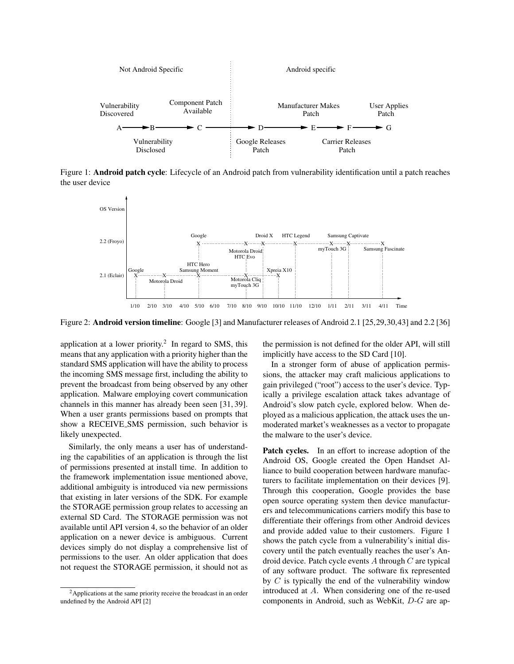

Figure 1: Android patch cycle: Lifecycle of an Android patch from vulnerability identification until a patch reaches the user device



Figure 2: Android version timeline: Google [3] and Manufacturer releases of Android 2.1 [25,29,30,43] and 2.2 [36]

application at a lower priority.<sup>2</sup> In regard to SMS, this means that any application with a priority higher than the standard SMS application will have the ability to process the incoming SMS message first, including the ability to prevent the broadcast from being observed by any other application. Malware employing covert communication channels in this manner has already been seen [31, 39]. When a user grants permissions based on prompts that show a RECEIVE SMS permission, such behavior is likely unexpected.

Similarly, the only means a user has of understanding the capabilities of an application is through the list of permissions presented at install time. In addition to the framework implementation issue mentioned above, additional ambiguity is introduced via new permissions that existing in later versions of the SDK. For example the STORAGE permission group relates to accessing an external SD Card. The STORAGE permission was not available until API version 4, so the behavior of an older application on a newer device is ambiguous. Current devices simply do not display a comprehensive list of permissions to the user. An older application that does not request the STORAGE permission, it should not as the permission is not defined for the older API, will still implicitly have access to the SD Card [10].

In a stronger form of abuse of application permissions, the attacker may craft malicious applications to gain privileged ("root") access to the user's device. Typically a privilege escalation attack takes advantage of Android's slow patch cycle, explored below. When deployed as a malicious application, the attack uses the unmoderated market's weaknesses as a vector to propagate the malware to the user's device.

Patch cycles. In an effort to increase adoption of the Android OS, Google created the Open Handset Alliance to build cooperation between hardware manufacturers to facilitate implementation on their devices [9]. Through this cooperation, Google provides the base open source operating system then device manufacturers and telecommunications carriers modify this base to differentiate their offerings from other Android devices and provide added value to their customers. Figure 1 shows the patch cycle from a vulnerability's initial discovery until the patch eventually reaches the user's Android device. Patch cycle events A through C are typical of any software product. The software fix represented by  $C$  is typically the end of the vulnerability window introduced at A. When considering one of the re-used components in Android, such as WebKit, D-G are ap-

<sup>2</sup>Applications at the same priority receive the broadcast in an order undefined by the Android API [2]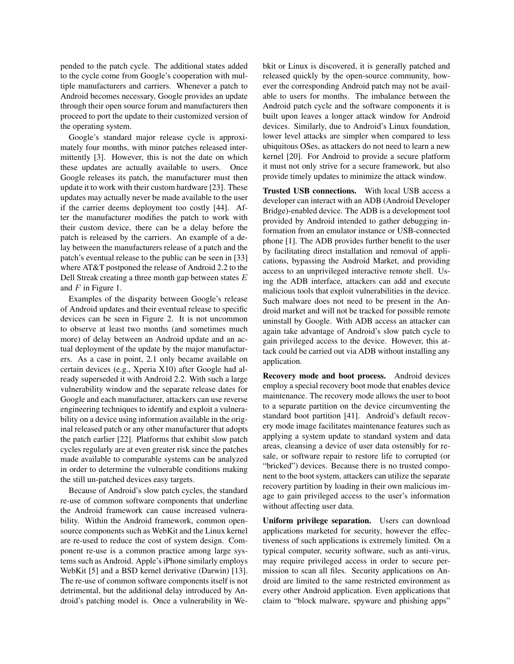pended to the patch cycle. The additional states added to the cycle come from Google's cooperation with multiple manufacturers and carriers. Whenever a patch to Android becomes necessary, Google provides an update through their open source forum and manufacturers then proceed to port the update to their customized version of the operating system.

Google's standard major release cycle is approximately four months, with minor patches released intermittently [3]. However, this is not the date on which these updates are actually available to users. Once Google releases its patch, the manufacturer must then update it to work with their custom hardware [23]. These updates may actually never be made available to the user if the carrier deems deployment too costly [44]. After the manufacturer modifies the patch to work with their custom device, there can be a delay before the patch is released by the carriers. An example of a delay between the manufacturers release of a patch and the patch's eventual release to the public can be seen in [33] where AT&T postponed the release of Android 2.2 to the Dell Streak creating a three month gap between states E and  $F$  in Figure 1.

Examples of the disparity between Google's release of Android updates and their eventual release to specific devices can be seen in Figure 2. It is not uncommon to observe at least two months (and sometimes much more) of delay between an Android update and an actual deployment of the update by the major manufacturers. As a case in point, 2.1 only became available on certain devices (e.g., Xperia X10) after Google had already superseded it with Android 2.2. With such a large vulnerability window and the separate release dates for Google and each manufacturer, attackers can use reverse engineering techniques to identify and exploit a vulnerability on a device using information available in the original released patch or any other manufacturer that adopts the patch earlier [22]. Platforms that exhibit slow patch cycles regularly are at even greater risk since the patches made available to comparable systems can be analyzed in order to determine the vulnerable conditions making the still un-patched devices easy targets.

Because of Android's slow patch cycles, the standard re-use of common software components that underline the Android framework can cause increased vulnerability. Within the Android framework, common opensource components such as WebKit and the Linux kernel are re-used to reduce the cost of system design. Component re-use is a common practice among large systems such as Android. Apple's iPhone similarly employs WebKit [5] and a BSD kernel derivative (Darwin) [13]. The re-use of common software components itself is not detrimental, but the additional delay introduced by Android's patching model is. Once a vulnerability in Webkit or Linux is discovered, it is generally patched and released quickly by the open-source community, however the corresponding Android patch may not be available to users for months. The imbalance between the Android patch cycle and the software components it is built upon leaves a longer attack window for Android devices. Similarly, due to Android's Linux foundation, lower level attacks are simpler when compared to less ubiquitous OSes, as attackers do not need to learn a new kernel [20]. For Android to provide a secure platform it must not only strive for a secure framework, but also provide timely updates to minimize the attack window.

Trusted USB connections. With local USB access a developer can interact with an ADB (Android Developer Bridge)-enabled device. The ADB is a development tool provided by Android intended to gather debugging information from an emulator instance or USB-connected phone [1]. The ADB provides further benefit to the user by facilitating direct installation and removal of applications, bypassing the Android Market, and providing access to an unprivileged interactive remote shell. Using the ADB interface, attackers can add and execute malicious tools that exploit vulnerabilities in the device. Such malware does not need to be present in the Android market and will not be tracked for possible remote uninstall by Google. With ADB access an attacker can again take advantage of Android's slow patch cycle to gain privileged access to the device. However, this attack could be carried out via ADB without installing any application.

Recovery mode and boot process. Android devices employ a special recovery boot mode that enables device maintenance. The recovery mode allows the user to boot to a separate partition on the device circumventing the standard boot partition [41]. Android's default recovery mode image facilitates maintenance features such as applying a system update to standard system and data areas, cleansing a device of user data ostensibly for resale, or software repair to restore life to corrupted (or "bricked") devices. Because there is no trusted component to the boot system, attackers can utilize the separate recovery partition by loading in their own malicious image to gain privileged access to the user's information without affecting user data.

Uniform privilege separation. Users can download applications marketed for security, however the effectiveness of such applications is extremely limited. On a typical computer, security software, such as anti-virus, may require privileged access in order to secure permission to scan all files. Security applications on Android are limited to the same restricted environment as every other Android application. Even applications that claim to "block malware, spyware and phishing apps"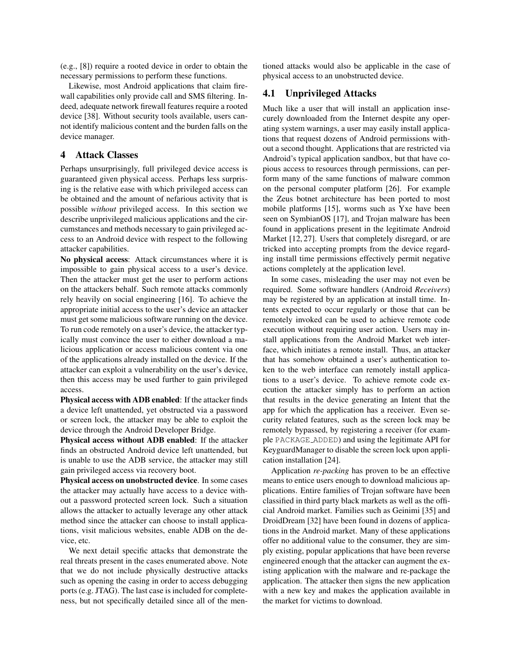(e.g., [8]) require a rooted device in order to obtain the necessary permissions to perform these functions.

Likewise, most Android applications that claim firewall capabilities only provide call and SMS filtering. Indeed, adequate network firewall features require a rooted device [38]. Without security tools available, users cannot identify malicious content and the burden falls on the device manager.

#### 4 Attack Classes

Perhaps unsurprisingly, full privileged device access is guaranteed given physical access. Perhaps less surprising is the relative ease with which privileged access can be obtained and the amount of nefarious activity that is possible *without* privileged access. In this section we describe unprivileged malicious applications and the circumstances and methods necessary to gain privileged access to an Android device with respect to the following attacker capabilities.

No physical access: Attack circumstances where it is impossible to gain physical access to a user's device. Then the attacker must get the user to perform actions on the attackers behalf. Such remote attacks commonly rely heavily on social engineering [16]. To achieve the appropriate initial access to the user's device an attacker must get some malicious software running on the device. To run code remotely on a user's device, the attacker typically must convince the user to either download a malicious application or access malicious content via one of the applications already installed on the device. If the attacker can exploit a vulnerability on the user's device, then this access may be used further to gain privileged access.

Physical access with ADB enabled: If the attacker finds a device left unattended, yet obstructed via a password or screen lock, the attacker may be able to exploit the device through the Android Developer Bridge.

Physical access without ADB enabled: If the attacker finds an obstructed Android device left unattended, but is unable to use the ADB service, the attacker may still gain privileged access via recovery boot.

Physical access on unobstructed device. In some cases the attacker may actually have access to a device without a password protected screen lock. Such a situation allows the attacker to actually leverage any other attack method since the attacker can choose to install applications, visit malicious websites, enable ADB on the device, etc.

We next detail specific attacks that demonstrate the real threats present in the cases enumerated above. Note that we do not include physically destructive attacks such as opening the casing in order to access debugging ports (e.g. JTAG). The last case is included for completeness, but not specifically detailed since all of the mentioned attacks would also be applicable in the case of physical access to an unobstructed device.

#### 4.1 Unprivileged Attacks

Much like a user that will install an application insecurely downloaded from the Internet despite any operating system warnings, a user may easily install applications that request dozens of Android permissions without a second thought. Applications that are restricted via Android's typical application sandbox, but that have copious access to resources through permissions, can perform many of the same functions of malware common on the personal computer platform [26]. For example the Zeus botnet architecture has been ported to most mobile platforms [15], worms such as Yxe have been seen on SymbianOS [17], and Trojan malware has been found in applications present in the legitimate Android Market [12, 27]. Users that completely disregard, or are tricked into accepting prompts from the device regarding install time permissions effectively permit negative actions completely at the application level.

In some cases, misleading the user may not even be required. Some software handlers (Android *Receivers*) may be registered by an application at install time. Intents expected to occur regularly or those that can be remotely invoked can be used to achieve remote code execution without requiring user action. Users may install applications from the Android Market web interface, which initiates a remote install. Thus, an attacker that has somehow obtained a user's authentication token to the web interface can remotely install applications to a user's device. To achieve remote code execution the attacker simply has to perform an action that results in the device generating an Intent that the app for which the application has a receiver. Even security related features, such as the screen lock may be remotely bypassed, by registering a receiver (for example PACKAGE ADDED) and using the legitimate API for KeyguardManager to disable the screen lock upon application installation [24].

Application *re-packing* has proven to be an effective means to entice users enough to download malicious applications. Entire families of Trojan software have been classified in third party black markets as well as the official Android market. Families such as Geinimi [35] and DroidDream [32] have been found in dozens of applications in the Android market. Many of these applications offer no additional value to the consumer, they are simply existing, popular applications that have been reverse engineered enough that the attacker can augment the existing application with the malware and re-package the application. The attacker then signs the new application with a new key and makes the application available in the market for victims to download.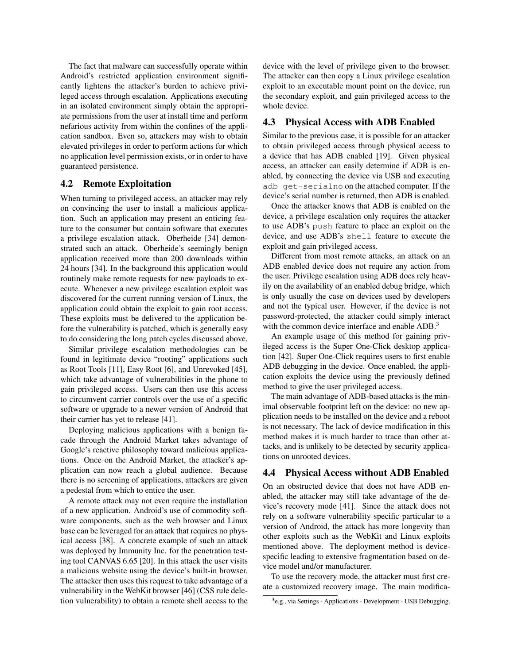The fact that malware can successfully operate within Android's restricted application environment significantly lightens the attacker's burden to achieve privileged access through escalation. Applications executing in an isolated environment simply obtain the appropriate permissions from the user at install time and perform nefarious activity from within the confines of the application sandbox. Even so, attackers may wish to obtain elevated privileges in order to perform actions for which no application level permission exists, or in order to have guaranteed persistence.

### 4.2 Remote Exploitation

When turning to privileged access, an attacker may rely on convincing the user to install a malicious application. Such an application may present an enticing feature to the consumer but contain software that executes a privilege escalation attack. Oberheide [34] demonstrated such an attack. Oberheide's seemingly benign application received more than 200 downloads within 24 hours [34]. In the background this application would routinely make remote requests for new payloads to execute. Whenever a new privilege escalation exploit was discovered for the current running version of Linux, the application could obtain the exploit to gain root access. These exploits must be delivered to the application before the vulnerability is patched, which is generally easy to do considering the long patch cycles discussed above.

Similar privilege escalation methodologies can be found in legitimate device "rooting" applications such as Root Tools [11], Easy Root [6], and Unrevoked [45], which take advantage of vulnerabilities in the phone to gain privileged access. Users can then use this access to circumvent carrier controls over the use of a specific software or upgrade to a newer version of Android that their carrier has yet to release [41].

Deploying malicious applications with a benign facade through the Android Market takes advantage of Google's reactive philosophy toward malicious applications. Once on the Android Market, the attacker's application can now reach a global audience. Because there is no screening of applications, attackers are given a pedestal from which to entice the user.

A remote attack may not even require the installation of a new application. Android's use of commodity software components, such as the web browser and Linux base can be leveraged for an attack that requires no physical access [38]. A concrete example of such an attack was deployed by Immunity Inc. for the penetration testing tool CANVAS 6.65 [20]. In this attack the user visits a malicious website using the device's built-in browser. The attacker then uses this request to take advantage of a vulnerability in the WebKit browser [46] (CSS rule deletion vulnerability) to obtain a remote shell access to the device with the level of privilege given to the browser. The attacker can then copy a Linux privilege escalation exploit to an executable mount point on the device, run the secondary exploit, and gain privileged access to the whole device.

#### 4.3 Physical Access with ADB Enabled

Similar to the previous case, it is possible for an attacker to obtain privileged access through physical access to a device that has ADB enabled [19]. Given physical access, an attacker can easily determine if ADB is enabled, by connecting the device via USB and executing adb get-serialno on the attached computer. If the device's serial number is returned, then ADB is enabled.

Once the attacker knows that ADB is enabled on the device, a privilege escalation only requires the attacker to use ADB's push feature to place an exploit on the device, and use ADB's shell feature to execute the exploit and gain privileged access.

Different from most remote attacks, an attack on an ADB enabled device does not require any action from the user. Privilege escalation using ADB does rely heavily on the availability of an enabled debug bridge, which is only usually the case on devices used by developers and not the typical user. However, if the device is not password-protected, the attacker could simply interact with the common device interface and enable ADB.<sup>3</sup>

An example usage of this method for gaining privileged access is the Super One-Click desktop application [42]. Super One-Click requires users to first enable ADB debugging in the device. Once enabled, the application exploits the device using the previously defined method to give the user privileged access.

The main advantage of ADB-based attacks is the minimal observable footprint left on the device: no new application needs to be installed on the device and a reboot is not necessary. The lack of device modification in this method makes it is much harder to trace than other attacks, and is unlikely to be detected by security applications on unrooted devices.

### 4.4 Physical Access without ADB Enabled

On an obstructed device that does not have ADB enabled, the attacker may still take advantage of the device's recovery mode [41]. Since the attack does not rely on a software vulnerability specific particular to a version of Android, the attack has more longevity than other exploits such as the WebKit and Linux exploits mentioned above. The deployment method is devicespecific leading to extensive fragmentation based on device model and/or manufacturer.

To use the recovery mode, the attacker must first create a customized recovery image. The main modifica-

<sup>&</sup>lt;sup>3</sup>e.g., via Settings - Applications - Development - USB Debugging.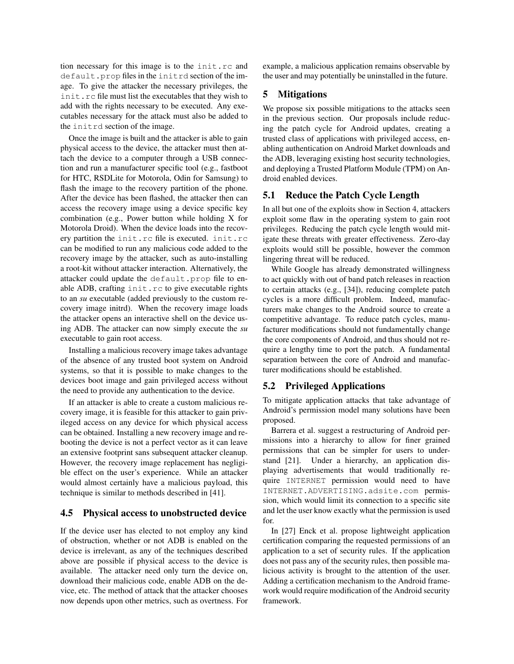tion necessary for this image is to the init.rc and default.prop files in the initrd section of the image. To give the attacker the necessary privileges, the init.rc file must list the executables that they wish to add with the rights necessary to be executed. Any executables necessary for the attack must also be added to the initrd section of the image.

Once the image is built and the attacker is able to gain physical access to the device, the attacker must then attach the device to a computer through a USB connection and run a manufacturer specific tool (e.g., fastboot for HTC, RSDLite for Motorola, Odin for Samsung) to flash the image to the recovery partition of the phone. After the device has been flashed, the attacker then can access the recovery image using a device specific key combination (e.g., Power button while holding X for Motorola Droid). When the device loads into the recovery partition the init.rc file is executed. init.rc can be modified to run any malicious code added to the recovery image by the attacker, such as auto-installing a root-kit without attacker interaction. Alternatively, the attacker could update the default.prop file to enable ADB, crafting init.rc to give executable rights to an *su* executable (added previously to the custom recovery image initrd). When the recovery image loads the attacker opens an interactive shell on the device using ADB. The attacker can now simply execute the *su* executable to gain root access.

Installing a malicious recovery image takes advantage of the absence of any trusted boot system on Android systems, so that it is possible to make changes to the devices boot image and gain privileged access without the need to provide any authentication to the device.

If an attacker is able to create a custom malicious recovery image, it is feasible for this attacker to gain privileged access on any device for which physical access can be obtained. Installing a new recovery image and rebooting the device is not a perfect vector as it can leave an extensive footprint sans subsequent attacker cleanup. However, the recovery image replacement has negligible effect on the user's experience. While an attacker would almost certainly have a malicious payload, this technique is similar to methods described in [41].

#### 4.5 Physical access to unobstructed device

If the device user has elected to not employ any kind of obstruction, whether or not ADB is enabled on the device is irrelevant, as any of the techniques described above are possible if physical access to the device is available. The attacker need only turn the device on, download their malicious code, enable ADB on the device, etc. The method of attack that the attacker chooses now depends upon other metrics, such as overtness. For example, a malicious application remains observable by the user and may potentially be uninstalled in the future.

### 5 Mitigations

We propose six possible mitigations to the attacks seen in the previous section. Our proposals include reducing the patch cycle for Android updates, creating a trusted class of applications with privileged access, enabling authentication on Android Market downloads and the ADB, leveraging existing host security technologies, and deploying a Trusted Platform Module (TPM) on Android enabled devices.

### 5.1 Reduce the Patch Cycle Length

In all but one of the exploits show in Section 4, attackers exploit some flaw in the operating system to gain root privileges. Reducing the patch cycle length would mitigate these threats with greater effectiveness. Zero-day exploits would still be possible, however the common lingering threat will be reduced.

While Google has already demonstrated willingness to act quickly with out of band patch releases in reaction to certain attacks (e.g., [34]), reducing complete patch cycles is a more difficult problem. Indeed, manufacturers make changes to the Android source to create a competitive advantage. To reduce patch cycles, manufacturer modifications should not fundamentally change the core components of Android, and thus should not require a lengthy time to port the patch. A fundamental separation between the core of Android and manufacturer modifications should be established.

#### 5.2 Privileged Applications

To mitigate application attacks that take advantage of Android's permission model many solutions have been proposed.

Barrera et al. suggest a restructuring of Android permissions into a hierarchy to allow for finer grained permissions that can be simpler for users to understand [21]. Under a hierarchy, an application displaying advertisements that would traditionally require INTERNET permission would need to have INTERNET.ADVERTISING.adsite.com permission, which would limit its connection to a specific site and let the user know exactly what the permission is used for.

In [27] Enck et al. propose lightweight application certification comparing the requested permissions of an application to a set of security rules. If the application does not pass any of the security rules, then possible malicious activity is brought to the attention of the user. Adding a certification mechanism to the Android framework would require modification of the Android security framework.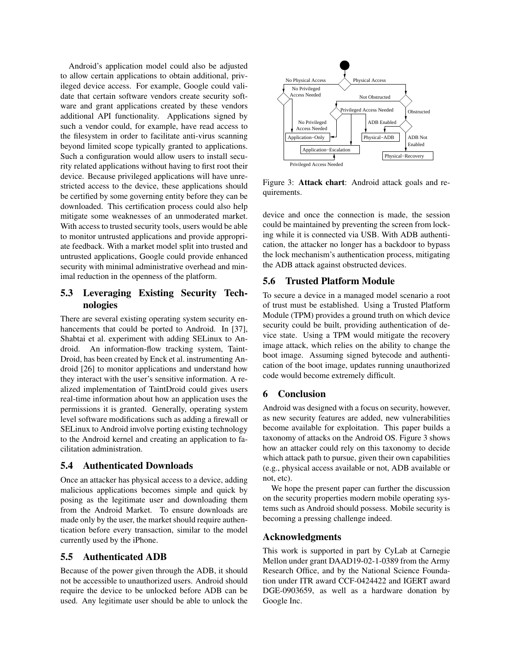Android's application model could also be adjusted to allow certain applications to obtain additional, privileged device access. For example, Google could validate that certain software vendors create security software and grant applications created by these vendors additional API functionality. Applications signed by such a vendor could, for example, have read access to the filesystem in order to facilitate anti-virus scanning beyond limited scope typically granted to applications. Such a configuration would allow users to install security related applications without having to first root their device. Because privileged applications will have unrestricted access to the device, these applications should be certified by some governing entity before they can be downloaded. This certification process could also help mitigate some weaknesses of an unmoderated market. With access to trusted security tools, users would be able to monitor untrusted applications and provide appropriate feedback. With a market model split into trusted and untrusted applications, Google could provide enhanced security with minimal administrative overhead and minimal reduction in the openness of the platform.

## 5.3 Leveraging Existing Security Technologies

There are several existing operating system security enhancements that could be ported to Android. In [37], Shabtai et al. experiment with adding SELinux to Android. An information-flow tracking system, Taint-Droid, has been created by Enck et al. instrumenting Android [26] to monitor applications and understand how they interact with the user's sensitive information. A realized implementation of TaintDroid could gives users real-time information about how an application uses the permissions it is granted. Generally, operating system level software modifications such as adding a firewall or SELinux to Android involve porting existing technology to the Android kernel and creating an application to facilitation administration.

### 5.4 Authenticated Downloads

Once an attacker has physical access to a device, adding malicious applications becomes simple and quick by posing as the legitimate user and downloading them from the Android Market. To ensure downloads are made only by the user, the market should require authentication before every transaction, similar to the model currently used by the iPhone.

### 5.5 Authenticated ADB

Because of the power given through the ADB, it should not be accessible to unauthorized users. Android should require the device to be unlocked before ADB can be used. Any legitimate user should be able to unlock the



Figure 3: Attack chart: Android attack goals and requirements.

device and once the connection is made, the session could be maintained by preventing the screen from locking while it is connected via USB. With ADB authentication, the attacker no longer has a backdoor to bypass the lock mechanism's authentication process, mitigating the ADB attack against obstructed devices.

### 5.6 Trusted Platform Module

To secure a device in a managed model scenario a root of trust must be established. Using a Trusted Platform Module (TPM) provides a ground truth on which device security could be built, providing authentication of device state. Using a TPM would mitigate the recovery image attack, which relies on the ability to change the boot image. Assuming signed bytecode and authentication of the boot image, updates running unauthorized code would become extremely difficult.

### 6 Conclusion

Android was designed with a focus on security, however, as new security features are added, new vulnerabilities become available for exploitation. This paper builds a taxonomy of attacks on the Android OS. Figure 3 shows how an attacker could rely on this taxonomy to decide which attack path to pursue, given their own capabilities (e.g., physical access available or not, ADB available or not, etc).

We hope the present paper can further the discussion on the security properties modern mobile operating systems such as Android should possess. Mobile security is becoming a pressing challenge indeed.

#### Acknowledgments

This work is supported in part by CyLab at Carnegie Mellon under grant DAAD19-02-1-0389 from the Army Research Office, and by the National Science Foundation under ITR award CCF-0424422 and IGERT award DGE-0903659, as well as a hardware donation by Google Inc.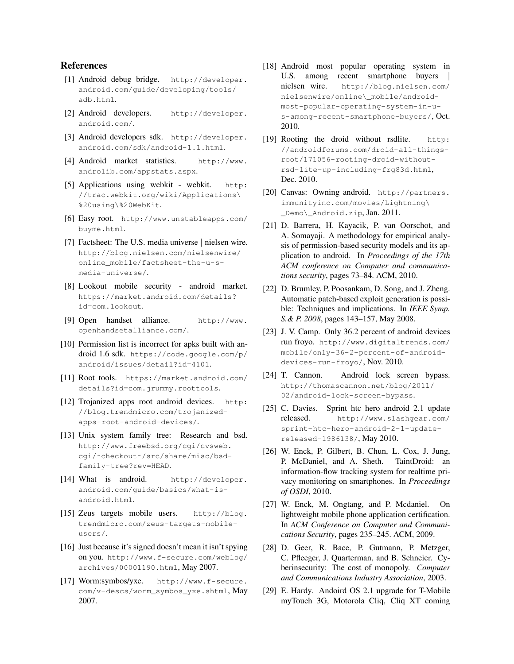#### References

- [1] Android debug bridge. http://developer. android.com/guide/developing/tools/ adb.html.
- [2] Android developers. http://developer. android.com/.
- [3] Android developers sdk. http://developer. android.com/sdk/android-1.1.html.
- [4] Android market statistics. http://www. androlib.com/appstats.aspx.
- [5] Applications using webkit webkit. http: //trac.webkit.org/wiki/Applications\ %20using\%20WebKit.
- [6] Easy root. http://www.unstableapps.com/ buyme.html.
- [7] Factsheet: The U.S. media universe | nielsen wire. http://blog.nielsen.com/nielsenwire/ online\_mobile/factsheet-the-u-smedia-universe/.
- [8] Lookout mobile security android market. https://market.android.com/details? id=com.lookout.
- [9] Open handset alliance. http://www. openhandsetalliance.com/.
- [10] Permission list is incorrect for apks built with android 1.6 sdk. https://code.google.com/p/ android/issues/detail?id=4101.
- [11] Root tools. https://market.android.com/ details?id=com.jrummy.roottools.
- [12] Trojanized apps root android devices. http: //blog.trendmicro.com/trojanizedapps-root-android-devices/.
- [13] Unix system family tree: Research and bsd. http://www.freebsd.org/cgi/cvsweb. cgi/˜checkout˜/src/share/misc/bsdfamily-tree?rev=HEAD.
- [14] What is android. http://developer. android.com/guide/basics/what-isandroid.html.
- [15] Zeus targets mobile users. http://blog. trendmicro.com/zeus-targets-mobileusers/.
- [16] Just because it's signed doesn't mean it isn't spying on you. http://www.f-secure.com/weblog/ archives/00001190.html, May 2007.
- [17] Worm:symbos/yxe. http://www.f-secure. com/v-descs/worm\_symbos\_yxe.shtml, May 2007.
- [18] Android most popular operating system in U.S. among recent smartphone buyers nielsen wire. http://blog.nielsen.com/ nielsenwire/online\\_mobile/androidmost-popular-operating-system-in-us-among-recent-smartphone-buyers/, Oct. 2010.
- [19] Rooting the droid without rsdlite. http: //androidforums.com/droid-all-thingsroot/171056-rooting-droid-withoutrsd-lite-up-including-frg83d.html, Dec. 2010.
- [20] Canvas: Owning android. http://partners. immunityinc.com/movies/Lightning\ \_Demo\\_Android.zip, Jan. 2011.
- [21] D. Barrera, H. Kayacik, P. van Oorschot, and A. Somayaji. A methodology for empirical analysis of permission-based security models and its application to android. In *Proceedings of the 17th ACM conference on Computer and communications security*, pages 73–84. ACM, 2010.
- [22] D. Brumley, P. Poosankam, D. Song, and J. Zheng. Automatic patch-based exploit generation is possible: Techniques and implications. In *IEEE Symp. S.& P. 2008*, pages 143–157, May 2008.
- [23] J. V. Camp. Only 36.2 percent of android devices run froyo. http://www.digitaltrends.com/ mobile/only-36-2-percent-of-androiddevices-run-froyo/, Nov. 2010.
- [24] T. Cannon. Android lock screen bypass. http://thomascannon.net/blog/2011/ 02/android-lock-screen-bypass.
- [25] C. Davies. Sprint htc hero android 2.1 update released. http://www.slashgear.com/ sprint-htc-hero-android-2-1-updatereleased-1986138/, May 2010.
- [26] W. Enck, P. Gilbert, B. Chun, L. Cox, J. Jung, P. McDaniel, and A. Sheth. TaintDroid: an information-flow tracking system for realtime privacy monitoring on smartphones. In *Proceedings of OSDI*, 2010.
- [27] W. Enck, M. Ongtang, and P. Mcdaniel. On lightweight mobile phone application certification. In *ACM Conference on Computer and Communications Security*, pages 235–245. ACM, 2009.
- [28] D. Geer, R. Bace, P. Gutmann, P. Metzger, C. Pfleeger, J. Quarterman, and B. Schneier. Cyberinsecurity: The cost of monopoly. *Computer and Communications Industry Association*, 2003.
- [29] E. Hardy. Andoird OS 2.1 upgrade for T-Mobile myTouch 3G, Motorola Cliq, Cliq XT coming